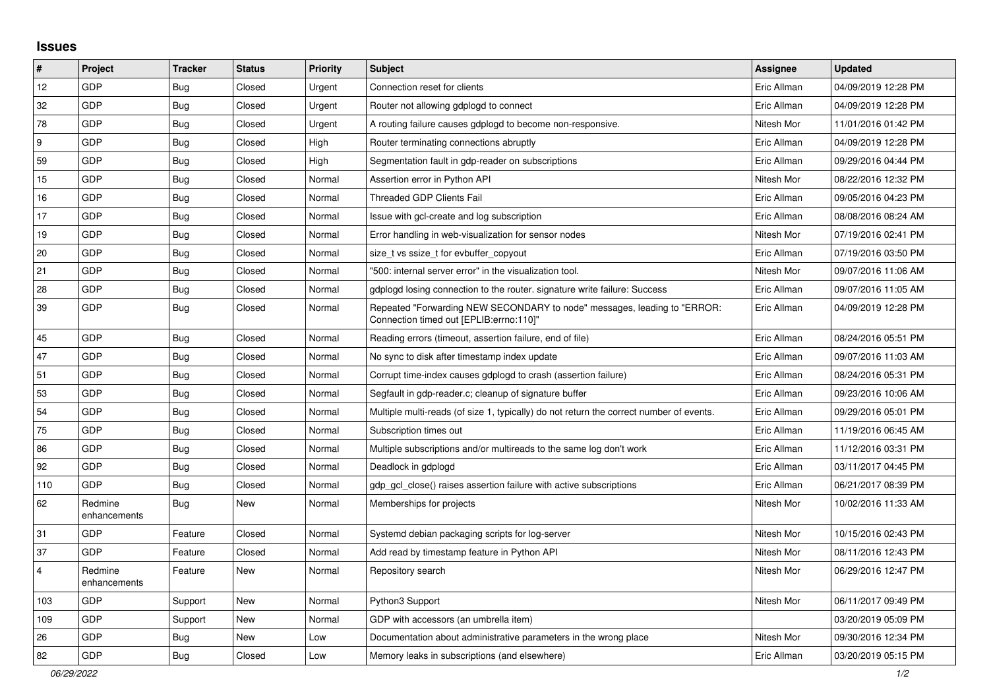## **Issues**

| $\vert$ #      | Project                 | <b>Tracker</b> | <b>Status</b> | Priority | Subject                                                                                                             | <b>Assignee</b> | <b>Updated</b>      |
|----------------|-------------------------|----------------|---------------|----------|---------------------------------------------------------------------------------------------------------------------|-----------------|---------------------|
| 12             | GDP                     | Bug            | Closed        | Urgent   | Connection reset for clients                                                                                        | Eric Allman     | 04/09/2019 12:28 PM |
| 32             | GDP                     | Bug            | Closed        | Urgent   | Router not allowing gdplogd to connect                                                                              | Eric Allman     | 04/09/2019 12:28 PM |
| 78             | GDP                     | Bug            | Closed        | Urgent   | A routing failure causes gdplogd to become non-responsive.                                                          | Nitesh Mor      | 11/01/2016 01:42 PM |
| 9              | GDP                     | <b>Bug</b>     | Closed        | High     | Router terminating connections abruptly                                                                             | Eric Allman     | 04/09/2019 12:28 PM |
| 59             | GDP                     | Bug            | Closed        | High     | Segmentation fault in gdp-reader on subscriptions                                                                   | Eric Allman     | 09/29/2016 04:44 PM |
| 15             | GDP                     | <b>Bug</b>     | Closed        | Normal   | Assertion error in Python API                                                                                       | Nitesh Mor      | 08/22/2016 12:32 PM |
| 16             | GDP                     | Bug            | Closed        | Normal   | <b>Threaded GDP Clients Fail</b>                                                                                    | Eric Allman     | 09/05/2016 04:23 PM |
| 17             | GDP                     | <b>Bug</b>     | Closed        | Normal   | Issue with gcl-create and log subscription                                                                          | Eric Allman     | 08/08/2016 08:24 AM |
| 19             | GDP                     | <b>Bug</b>     | Closed        | Normal   | Error handling in web-visualization for sensor nodes                                                                | Nitesh Mor      | 07/19/2016 02:41 PM |
| 20             | GDP                     | <b>Bug</b>     | Closed        | Normal   | size_t vs ssize_t for evbuffer_copyout                                                                              | Eric Allman     | 07/19/2016 03:50 PM |
| 21             | GDP                     | <b>Bug</b>     | Closed        | Normal   | '500: internal server error" in the visualization tool.                                                             | Nitesh Mor      | 09/07/2016 11:06 AM |
| 28             | GDP                     | Bug            | Closed        | Normal   | gdplogd losing connection to the router. signature write failure: Success                                           | Eric Allman     | 09/07/2016 11:05 AM |
| 39             | GDP                     | Bug            | Closed        | Normal   | Repeated "Forwarding NEW SECONDARY to node" messages, leading to "ERROR:<br>Connection timed out [EPLIB:errno:110]" | Eric Allman     | 04/09/2019 12:28 PM |
| 45             | GDP                     | Bug            | Closed        | Normal   | Reading errors (timeout, assertion failure, end of file)                                                            | Eric Allman     | 08/24/2016 05:51 PM |
| 47             | GDP                     | <b>Bug</b>     | Closed        | Normal   | No sync to disk after timestamp index update                                                                        | Eric Allman     | 09/07/2016 11:03 AM |
| 51             | GDP                     | Bug            | Closed        | Normal   | Corrupt time-index causes gdplogd to crash (assertion failure)                                                      | Eric Allman     | 08/24/2016 05:31 PM |
| 53             | <b>GDP</b>              | <b>Bug</b>     | Closed        | Normal   | Segfault in gdp-reader.c; cleanup of signature buffer                                                               | Eric Allman     | 09/23/2016 10:06 AM |
| 54             | GDP                     | Bug            | Closed        | Normal   | Multiple multi-reads (of size 1, typically) do not return the correct number of events.                             | Eric Allman     | 09/29/2016 05:01 PM |
| 75             | GDP                     | <b>Bug</b>     | Closed        | Normal   | Subscription times out                                                                                              | Eric Allman     | 11/19/2016 06:45 AM |
| 86             | GDP                     | Bug            | Closed        | Normal   | Multiple subscriptions and/or multireads to the same log don't work                                                 | Eric Allman     | 11/12/2016 03:31 PM |
| 92             | GDP                     | <b>Bug</b>     | Closed        | Normal   | Deadlock in gdplogd                                                                                                 | Eric Allman     | 03/11/2017 04:45 PM |
| 110            | GDP                     | Bug            | Closed        | Normal   | gdp gcl close() raises assertion failure with active subscriptions                                                  | Eric Allman     | 06/21/2017 08:39 PM |
| 62             | Redmine<br>enhancements | Bug            | New           | Normal   | Memberships for projects                                                                                            | Nitesh Mor      | 10/02/2016 11:33 AM |
| 31             | GDP                     | Feature        | Closed        | Normal   | Systemd debian packaging scripts for log-server                                                                     | Nitesh Mor      | 10/15/2016 02:43 PM |
| 37             | GDP                     | Feature        | Closed        | Normal   | Add read by timestamp feature in Python API                                                                         | Nitesh Mor      | 08/11/2016 12:43 PM |
| $\overline{4}$ | Redmine<br>enhancements | Feature        | New           | Normal   | Repository search                                                                                                   | Nitesh Mor      | 06/29/2016 12:47 PM |
| 103            | GDP                     | Support        | <b>New</b>    | Normal   | Python3 Support                                                                                                     | Nitesh Mor      | 06/11/2017 09:49 PM |
| 109            | GDP                     | Support        | New           | Normal   | GDP with accessors (an umbrella item)                                                                               |                 | 03/20/2019 05:09 PM |
| 26             | GDP                     | Bug            | New           | Low      | Documentation about administrative parameters in the wrong place                                                    | Nitesh Mor      | 09/30/2016 12:34 PM |
| 82             | GDP                     | <b>Bug</b>     | Closed        | Low      | Memory leaks in subscriptions (and elsewhere)                                                                       | Eric Allman     | 03/20/2019 05:15 PM |